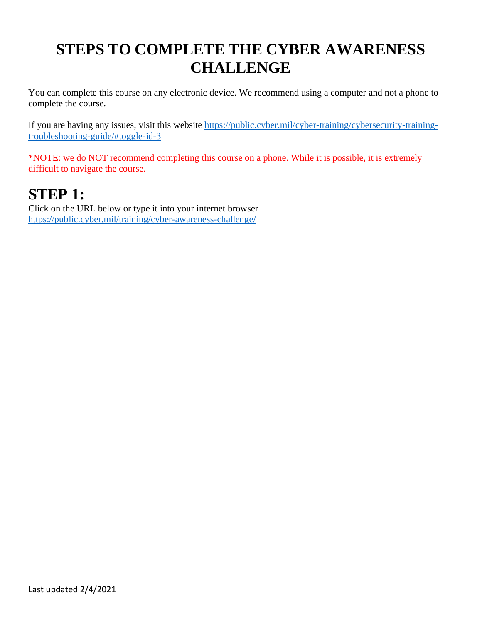## **STEPS TO COMPLETE THE CYBER AWARENESS CHALLENGE**

You can complete this course on any electronic device. We recommend using a computer and not a phone to complete the course.

If you are having any issues, visit this website [https://public.cyber.mil/cyber-training/cybersecurity-training](https://public.cyber.mil/cyber-training/cybersecurity-training-troubleshooting-guide/#toggle-id-3)[troubleshooting-guide/#toggle-id-3](https://public.cyber.mil/cyber-training/cybersecurity-training-troubleshooting-guide/#toggle-id-3)

\*NOTE: we do NOT recommend completing this course on a phone. While it is possible, it is extremely difficult to navigate the course.

### **STEP 1:**

Click on the URL below or type it into your internet browser <https://public.cyber.mil/training/cyber-awareness-challenge/>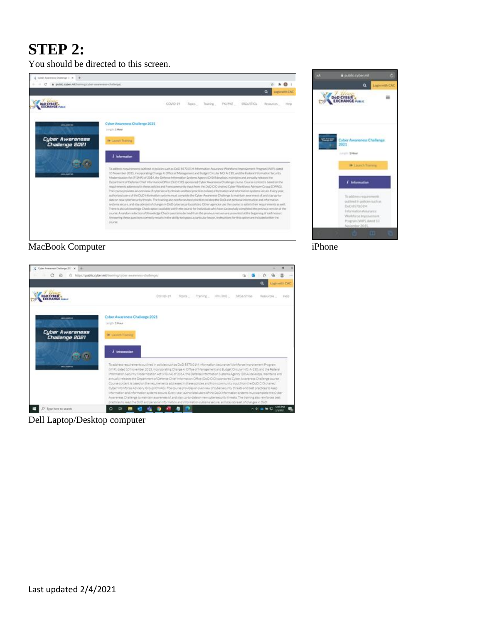## **STEP 2:**

You should be directed to this screen.





MacBook Computer iPhone



Dell Laptop/Desktop computer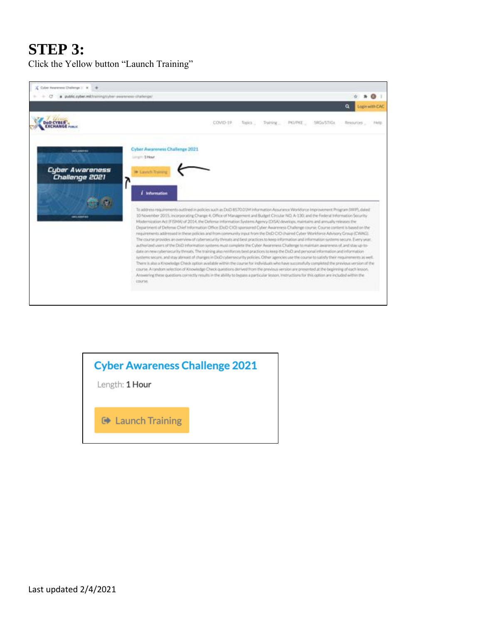## **STEP 3:**

Click the Yellow button "Launch Training"



### **Cyber Awareness Challenge 2021**

Length: 1 Hour

**■ Launch Training**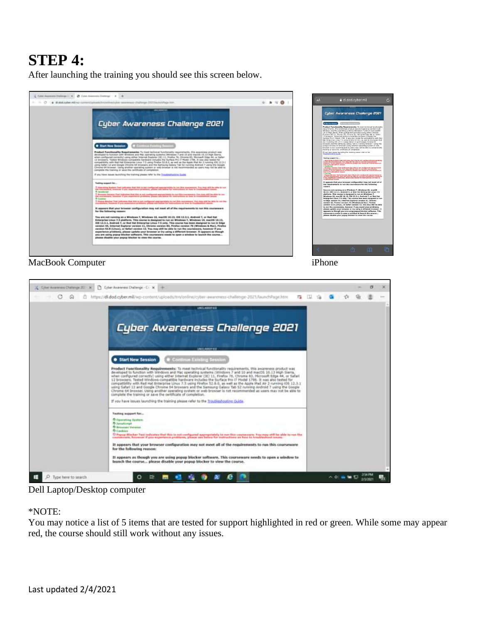## **STEP 4:**

After launching the training you should see this screen below.



#### MacBook Computer iPhone



Dell Laptop/Desktop computer

#### \*NOTE:

You may notice a list of 5 items that are tested for support highlighted in red or green. While some may appear red, the course should still work without any issues.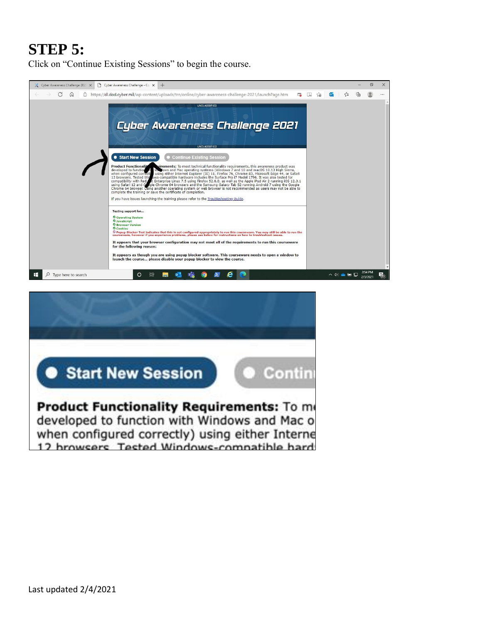## **STEP 5:**

Click on "Continue Existing Sessions" to begin the course.



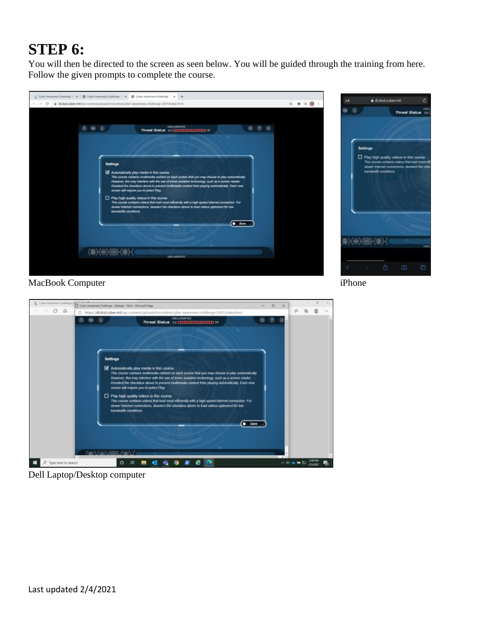# **STEP 6:**

You will then be directed to the screen as seen below. You will be guided through the training from here. Follow the given prompts to complete the course.





MacBook Computer iPhone



Dell Laptop/Desktop computer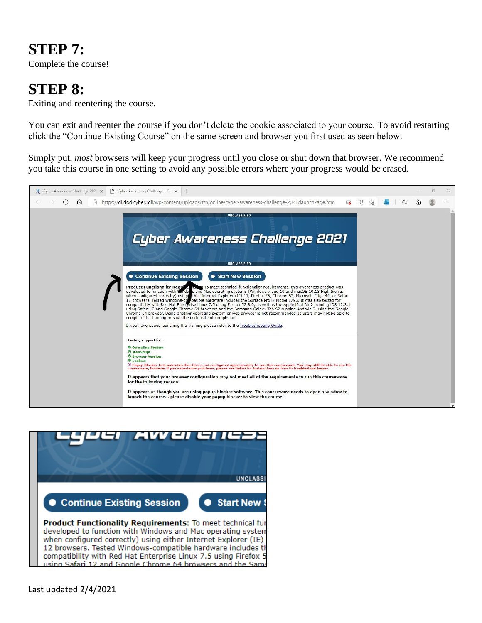### **STEP 7:**

Complete the course!

### **STEP 8:**

Exiting and reentering the course.

You can exit and reenter the course if you don't delete the cookie associated to your course. To avoid restarting click the "Continue Existing Course" on the same screen and browser you first used as seen below.

Simply put, *most* browsers will keep your progress until you close or shut down that browser. We recommend you take this course in one setting to avoid any possible errors where your progress would be erased.





when configured correctly) using either Internet Explorer (IE) 12 browsers. Tested Windows-compatible hardware includes th compatibility with Red Hat Enterprise Linux 7.5 using Firefox 5 using Safari 12 and Google Chrome 64 browsers and the Sams